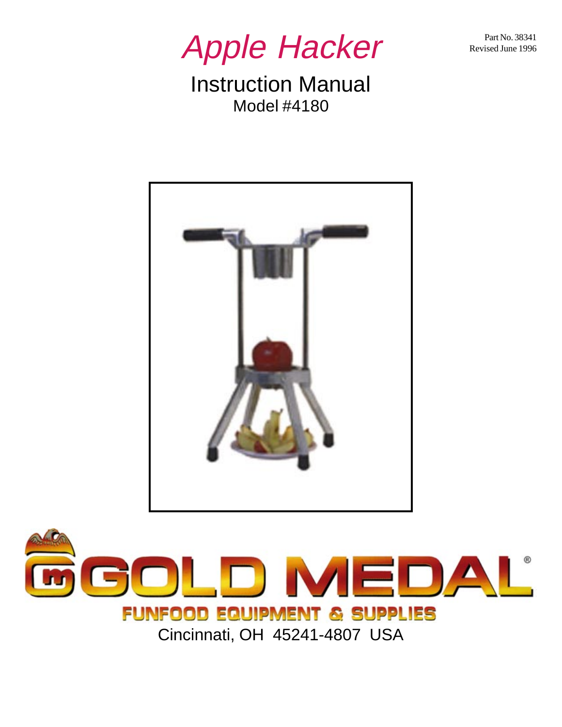Part No. 38341 Revised June 1996



Instruction Manual Model #4180



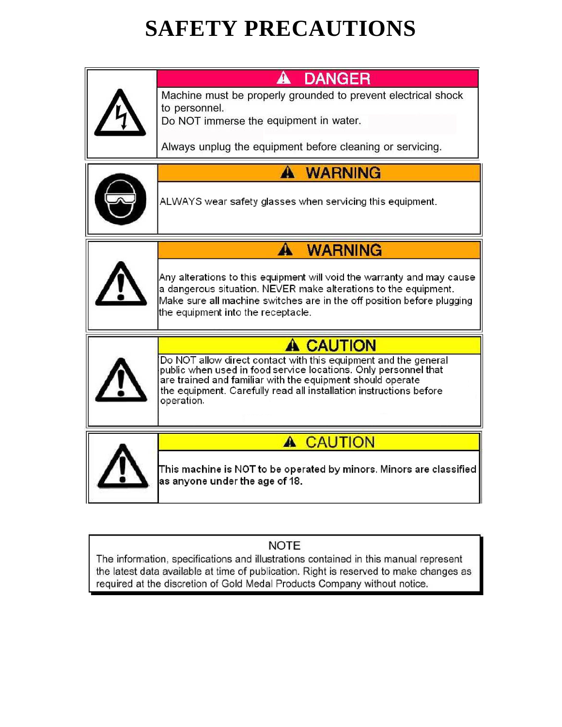# **SAFETY PRECAUTIONS**

|  | <b>DANGER</b><br>A                                                                                                                                                                                                                                                                   |  |  |  |
|--|--------------------------------------------------------------------------------------------------------------------------------------------------------------------------------------------------------------------------------------------------------------------------------------|--|--|--|
|  | Machine must be properly grounded to prevent electrical shock<br>to personnel.<br>Do NOT immerse the equipment in water.<br>Always unplug the equipment before cleaning or servicing.                                                                                                |  |  |  |
|  |                                                                                                                                                                                                                                                                                      |  |  |  |
|  | A<br><b>WARNING</b>                                                                                                                                                                                                                                                                  |  |  |  |
|  | ALWAYS wear safety glasses when servicing this equipment.                                                                                                                                                                                                                            |  |  |  |
|  | <b>WARNING</b><br>А                                                                                                                                                                                                                                                                  |  |  |  |
|  | Any alterations to this equipment will void the warranty and may cause<br>a dangerous situation. NEVER make alterations to the equipment.<br>Make sure all machine switches are in the off position before plugging<br>the equipment into the receptacle.                            |  |  |  |
|  | <b>A CAUTION</b>                                                                                                                                                                                                                                                                     |  |  |  |
|  | Do NOT allow direct contact with this equipment and the general<br>public when used in food service locations. Only personnel that<br>are trained and familiar with the equipment should operate<br>the equipment. Carefully read all installation instructions before<br>operation. |  |  |  |
|  | <b>CAUTION</b><br>A                                                                                                                                                                                                                                                                  |  |  |  |
|  | This machine is NOT to be operated by minors. Minors are classified<br>as anyone under the age of 18.                                                                                                                                                                                |  |  |  |

### **NOTE**

The information, specifications and illustrations contained in this manual represent the latest data available at time of publication. Right is reserved to make changes as required at the discretion of Gold Medal Products Company without notice.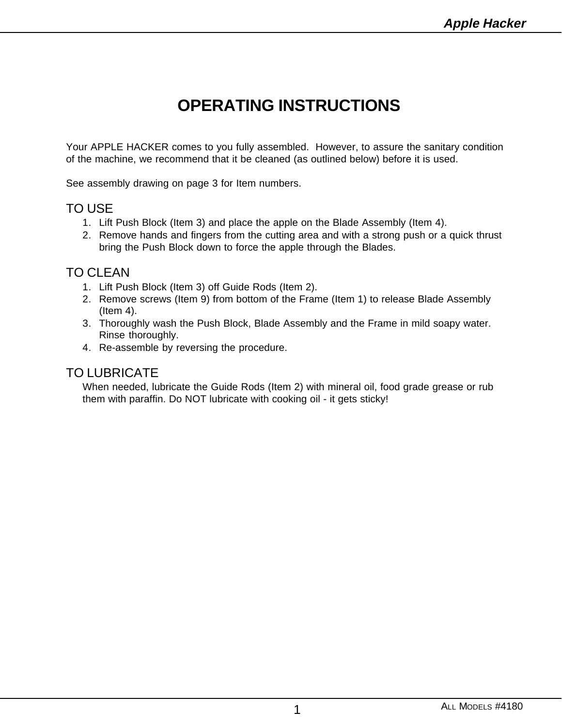## **OPERATING INSTRUCTIONS**

Your APPLE HACKER comes to you fully assembled. However, to assure the sanitary condition of the machine, we recommend that it be cleaned (as outlined below) before it is used.

See assembly drawing on page 3 for Item numbers.

### TO USE

- 1. Lift Push Block (Item 3) and place the apple on the Blade Assembly (Item 4).
- 2. Remove hands and fingers from the cutting area and with a strong push or a quick thrust bring the Push Block down to force the apple through the Blades.

#### TO CLEAN

- 1. Lift Push Block (Item 3) off Guide Rods (Item 2).
- 2. Remove screws (Item 9) from bottom of the Frame (Item 1) to release Blade Assembly (Item 4).
- 3. Thoroughly wash the Push Block, Blade Assembly and the Frame in mild soapy water. Rinse thoroughly.
- 4. Re-assemble by reversing the procedure.

#### TO LUBRICATE

When needed, lubricate the Guide Rods (Item 2) with mineral oil, food grade grease or rub them with paraffin. Do NOT lubricate with cooking oil - it gets sticky!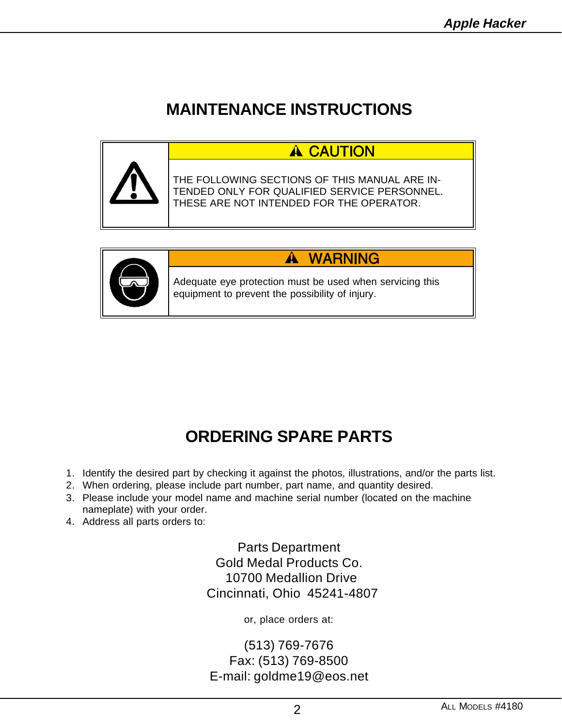## **MAINTENANCE INSTRUCTIONS**





#### **WARNING**  $\blacktriangle$

Adequate eye protection must be used when servicing this equipment to prevent the possibility of injury.

## **ORDERING SPARE PARTS**

- 1. Identify the desired part by checking it against the photos, illustrations, and/or the parts list.
- 2. When ordering, please include part number, part name, and quantity desired.
- 3. Please include your model name and machine serial number (located on the machine nameplate) with your order.
- 4. Address all parts orders to:

Parts Department Gold Medal Products Co. 10700 Medallion Drive Cincinnati, Ohio 45241-4807

or, place orders at:

(513) 769-7676 Fax: (513) 769-8500 E-mail: goldme19@eos.net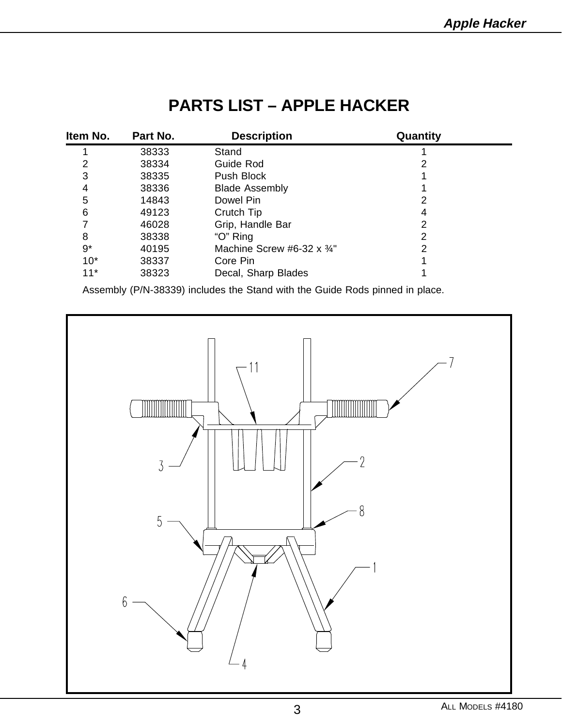## **PARTS LIST – APPLE HACKER**

| ltem No. | Part No. | <b>Description</b>                | Quantity |  |
|----------|----------|-----------------------------------|----------|--|
|          | 38333    | Stand                             |          |  |
| 2        | 38334    | Guide Rod                         |          |  |
| 3        | 38335    | Push Block                        |          |  |
| 4        | 38336    | <b>Blade Assembly</b>             |          |  |
| 5        | 14843    | Dowel Pin                         | 2        |  |
| 6        | 49123    | Crutch Tip                        | 4        |  |
|          | 46028    | Grip, Handle Bar                  | 2        |  |
| 8        | 38338    | "O" Ring                          | 2        |  |
| $9*$     | 40195    | Machine Screw #6-32 $\times$ 3/4" | 2        |  |
| $10*$    | 38337    | Core Pin                          |          |  |
| $11*$    | 38323    | Decal, Sharp Blades               |          |  |

Assembly (P/N-38339) includes the Stand with the Guide Rods pinned in place.